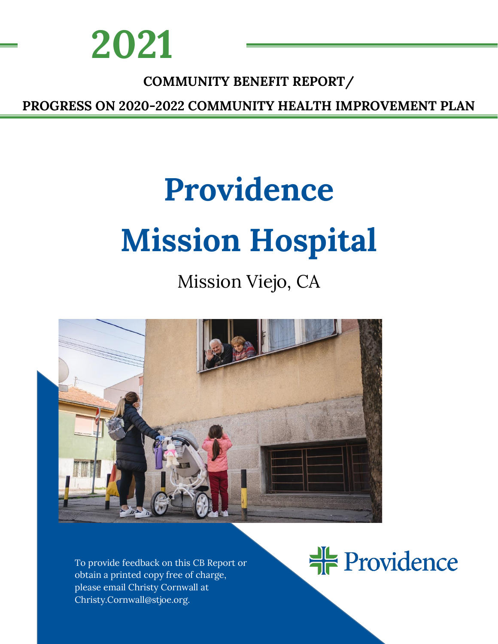

### **COMMUNITY BENEFIT REPORT/**

<u>NEEDS ASSESSMENT ASSESSMENT ASSESS</u>

**PROGRESS ON 2020-2022 COMMUNITY HEALTH IMPROVEMENT PLAN**

# **Providence Mission Hospital**

# Mission Viejo, CA



To provide feedback on this CB Report or obtain a printed copy free of charge, please email Christy Cornwall at Christy.Cornwall@stjoe.org.

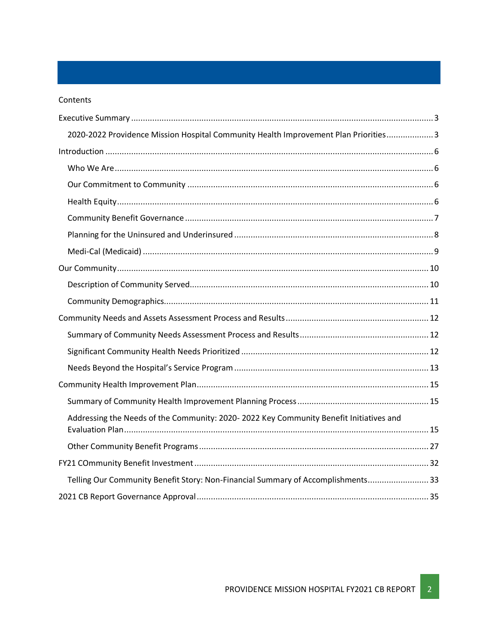#### Contents

| 2020-2022 Providence Mission Hospital Community Health Improvement Plan Priorities 3   |  |
|----------------------------------------------------------------------------------------|--|
|                                                                                        |  |
|                                                                                        |  |
|                                                                                        |  |
|                                                                                        |  |
|                                                                                        |  |
|                                                                                        |  |
|                                                                                        |  |
|                                                                                        |  |
|                                                                                        |  |
|                                                                                        |  |
|                                                                                        |  |
|                                                                                        |  |
|                                                                                        |  |
|                                                                                        |  |
|                                                                                        |  |
|                                                                                        |  |
| Addressing the Needs of the Community: 2020-2022 Key Community Benefit Initiatives and |  |
|                                                                                        |  |
|                                                                                        |  |
|                                                                                        |  |
| Telling Our Community Benefit Story: Non-Financial Summary of Accomplishments 33       |  |
|                                                                                        |  |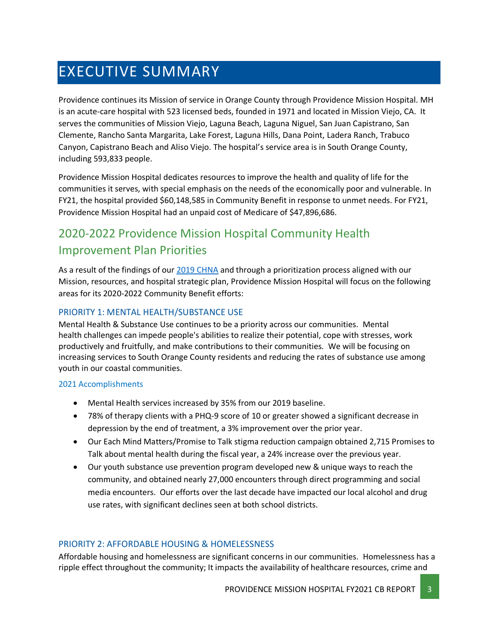# <span id="page-2-0"></span>EXECUTIVE SUMMARY

Providence continues its Mission of service in Orange County through Providence Mission Hospital. MH is an acute-care hospital with 523 licensed beds, founded in 1971 and located in Mission Viejo, CA. It serves the communities of Mission Viejo, Laguna Beach, Laguna Niguel, San Juan Capistrano, San Clemente, Rancho Santa Margarita, Lake Forest, Laguna Hills, Dana Point, Ladera Ranch, Trabuco Canyon, Capistrano Beach and Aliso Viejo. The hospital's service area is in South Orange County, including 593,833 people.

Providence Mission Hospital dedicates resources to improve the health and quality of life for the communities it serves, with special emphasis on the needs of the economically poor and vulnerable. In FY21, the hospital provided \$60,148,585 in Community Benefit in response to unmet needs. For FY21, Providence Mission Hospital had an unpaid cost of Medicare of \$47,896,686.

### <span id="page-2-1"></span>2020-2022 Providence Mission Hospital Community Health Improvement Plan Priorities

As a result of the findings of our [2019 CHNA](https://www.providence.org/about/annual-report/chna-and-chip-reports) and through a prioritization process aligned with our Mission, resources, and hospital strategic plan, Providence Mission Hospital will focus on the following areas for its 2020-2022 Community Benefit efforts:

### PRIORITY 1: MENTAL HEALTH/SUBSTANCE USE

Mental Health & Substance Use continues to be a priority across our communities. Mental health challenges can impede people's abilities to realize their potential, cope with stresses, work productively and fruitfully, and make contributions to their communities. We will be focusing on increasing services to South Orange County residents and reducing the rates of substance use among youth in our coastal communities.

### 2021 Accomplishments

- Mental Health services increased by 35% from our 2019 baseline.
- 78% of therapy clients with a PHQ-9 score of 10 or greater showed a significant decrease in depression by the end of treatment, a 3% improvement over the prior year.
- Our Each Mind Matters/Promise to Talk stigma reduction campaign obtained 2,715 Promises to Talk about mental health during the fiscal year, a 24% increase over the previous year.
- Our youth substance use prevention program developed new & unique ways to reach the community, and obtained nearly 27,000 encounters through direct programming and social media encounters. Our efforts over the last decade have impacted our local alcohol and drug use rates, with significant declines seen at both school districts.

### PRIORITY 2: AFFORDABLE HOUSING & HOMELESSNESS

Affordable housing and homelessness are significant concerns in our communities. Homelessness has a ripple effect throughout the community; It impacts the availability of healthcare resources, crime and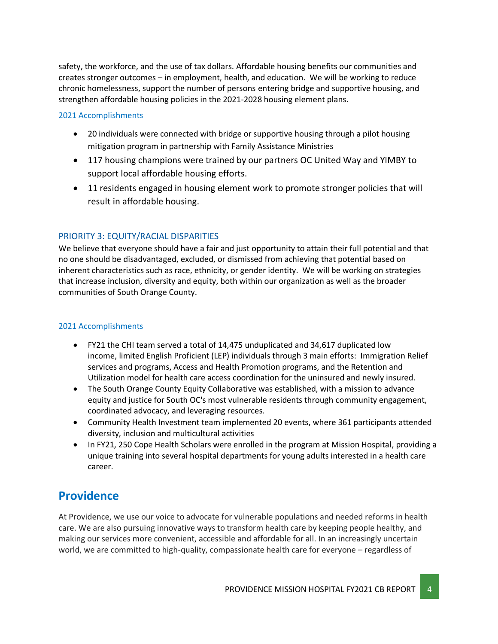safety, the workforce, and the use of tax dollars. Affordable housing benefits our communities and creates stronger outcomes – in employment, health, and education. We will be working to reduce chronic homelessness, support the number of persons entering bridge and supportive housing, and strengthen affordable housing policies in the 2021-2028 housing element plans.

#### 2021 Accomplishments

- 20 individuals were connected with bridge or supportive housing through a pilot housing mitigation program in partnership with Family Assistance Ministries
- 117 housing champions were trained by our partners OC United Way and YIMBY to support local affordable housing efforts.
- 11 residents engaged in housing element work to promote stronger policies that will result in affordable housing.

### PRIORITY 3: EQUITY/RACIAL DISPARITIES

We believe that everyone should have a fair and just opportunity to attain their full potential and that no one should be disadvantaged, excluded, or dismissed from achieving that potential based on inherent characteristics such as race, ethnicity, or gender identity. We will be working on strategies that increase inclusion, diversity and equity, both within our organization as well as the broader communities of South Orange County.

### 2021 Accomplishments

- FY21 the CHI team served a total of 14,475 unduplicated and 34,617 duplicated low income, limited English Proficient (LEP) individuals through 3 main efforts:  Immigration Relief services and programs, Access and Health Promotion programs, and the Retention and Utilization model for health care access coordination for the uninsured and newly insured.
- The South Orange County Equity Collaborative was established, with a mission to advance equity and justice for South OC's most vulnerable residents through community engagement, coordinated advocacy, and leveraging resources.
- Community Health Investment team implemented 20 events, where 361 participants attended diversity, inclusion and multicultural activities
- In FY21, 250 Cope Health Scholars were enrolled in the program at Mission Hospital, providing a unique training into several hospital departments for young adults interested in a health care career.

### **Providence**

At Providence, we use our voice to advocate for vulnerable populations and needed reforms in health care. We are also pursuing innovative ways to transform health care by keeping people healthy, and making our services more convenient, accessible and affordable for all. In an increasingly uncertain world, we are committed to high-quality, compassionate health care for everyone – regardless of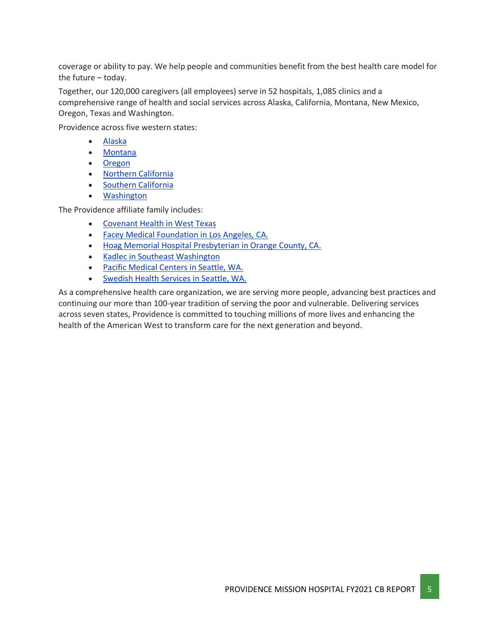coverage or ability to pay. We help people and communities benefit from the best health care model for the future – today.

Together, our 120,000 caregivers (all employees) serve in 52 hospitals, 1,085 clinics and a comprehensive range of health and social services across Alaska, California, Montana, New Mexico, Oregon, Texas and Washington.

Providence across five western states:

- [Alaska](https://www.providence.org/about/alaska)
- [Montana](https://www.providence.org/about/montana)
- [Oregon](https://www.providence.org/about/oregon)
- Northern [California](https://www.providence.org/about/northern-california)
- Southern [California](https://www.providence.org/about/southern-california)
- [Washington](https://www.providence.org/about/washington)

The Providence affiliate family includes:

- [Covenant](https://www.covenanthealth.org/) Health in West Texas
- Facey Medical [Foundation](https://www.facey.com/) in Los Angeles, CA.
- Hoag Memorial Hospital [Presbyterian](https://www.hoag.org/) in Orange County, CA.
- Kadlec in Southeast [Washington](http://www.kadlec.org/)
- Pacific [Medical](https://www.pacificmedicalcenters.org/) Centers in Seattle, WA.
- [Swedish](http://www.swedish.org/) Health Services in Seattle, WA.

As a comprehensive health care organization, we are serving more people, advancing best practices and continuing our more than 100-year tradition of serving the poor and vulnerable. Delivering services across seven states, Providence is committed to touching millions of more lives and enhancing the health of the American West to transform care for the next generation and beyond.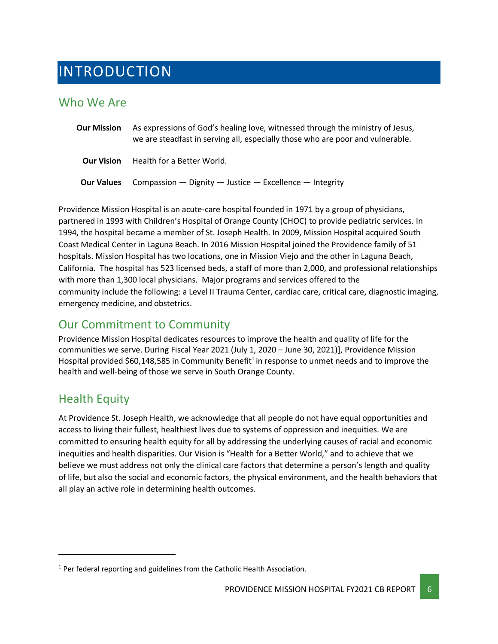## <span id="page-5-0"></span>INTRODUCTION

### <span id="page-5-1"></span>Who We Are

| <b>Our Mission</b> | As expressions of God's healing love, witnessed through the ministry of Jesus,<br>we are steadfast in serving all, especially those who are poor and vulnerable. |
|--------------------|------------------------------------------------------------------------------------------------------------------------------------------------------------------|
| <b>Our Vision</b>  | Health for a Better World.                                                                                                                                       |
| <b>Our Values</b>  | Compassion $-$ Dignity $-$ Justice $-$ Excellence $-$ Integrity                                                                                                  |

Providence Mission Hospital is an acute-care hospital founded in 1971 by a group of physicians, partnered in 1993 with Children's Hospital of Orange County (CHOC) to provide pediatric services. In 1994, the hospital became a member of St. Joseph Health. In 2009, Mission Hospital acquired South Coast Medical Center in Laguna Beach. In 2016 Mission Hospital joined the Providence family of 51 hospitals. Mission Hospital has two locations, one in Mission Viejo and the other in Laguna Beach, California. The hospital has 523 licensed beds, a staff of more than 2,000, and professional relationships with more than 1,300 local physicians. Major programs and services offered to the community include the following: a Level II Trauma Center, cardiac care, critical care, diagnostic imaging, emergency medicine, and obstetrics.

### <span id="page-5-2"></span>Our Commitment to Community

Providence Mission Hospital dedicates resources to improve the health and quality of life for the communities we serve. During Fiscal Year 2021 (July 1, 2020 – June 30, 2021)], Providence Mission Hospital provided \$60,148,585 in Community Benefit<sup>1</sup> in response to unmet needs and to improve the health and well-being of those we serve in South Orange County.

### <span id="page-5-3"></span>Health Equity

At Providence St. Joseph Health, we acknowledge that all people do not have equal opportunities and access to living their fullest, healthiest lives due to systems of oppression and inequities. We are committed to ensuring health equity for all by addressing the underlying causes of racial and economic inequities and health disparities. Our Vision is "Health for a Better World," and to achieve that we believe we must address not only the clinical care factors that determine a person's length and quality of life, but also the social and economic factors, the physical environment, and the health behaviors that all play an active role in determining health outcomes.

 $1$  Per federal reporting and guidelines from the Catholic Health Association.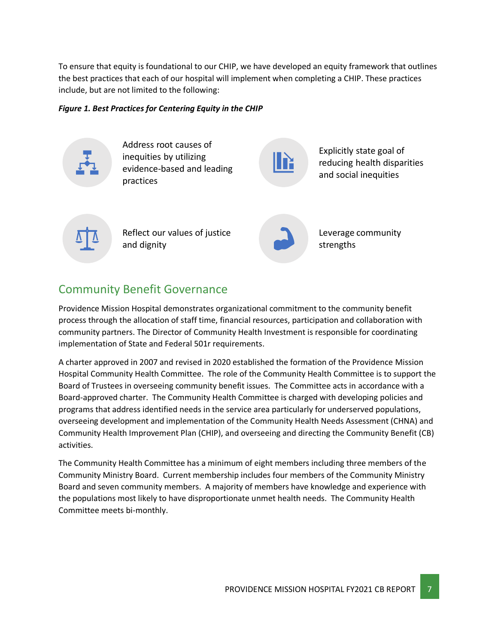To ensure that equity is foundational to our CHIP, we have developed an equity framework that outlines the best practices that each of our hospital will implement when completing a CHIP. These practices include, but are not limited to the following:

#### *Figure 1. Best Practices for Centering Equity in the CHIP*



Address root causes of inequities by utilizing evidence-based and leading practices



Explicitly state goal of reducing health disparities and social inequities



Reflect our values of justice and dignity



Leverage community strengths

### <span id="page-6-0"></span>Community Benefit Governance

Providence Mission Hospital demonstrates organizational commitment to the community benefit process through the allocation of staff time, financial resources, participation and collaboration with community partners. The Director of Community Health Investment is responsible for coordinating implementation of State and Federal 501r requirements.

A charter approved in 2007 and revised in 2020 established the formation of the Providence Mission Hospital Community Health Committee. The role of the Community Health Committee is to support the Board of Trustees in overseeing community benefit issues. The Committee acts in accordance with a Board-approved charter. The Community Health Committee is charged with developing policies and programs that address identified needs in the service area particularly for underserved populations, overseeing development and implementation of the Community Health Needs Assessment (CHNA) and Community Health Improvement Plan (CHIP), and overseeing and directing the Community Benefit (CB) activities.

The Community Health Committee has a minimum of eight members including three members of the Community Ministry Board. Current membership includes four members of the Community Ministry Board and seven community members. A majority of members have knowledge and experience with the populations most likely to have disproportionate unmet health needs. The Community Health Committee meets bi-monthly.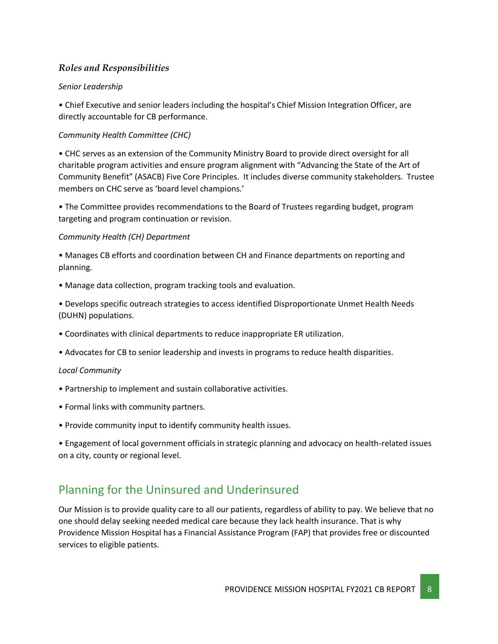### *Roles and Responsibilities*

### *Senior Leadership*

• Chief Executive and senior leaders including the hospital's Chief Mission Integration Officer, are directly accountable for CB performance.

### *Community Health Committee (CHC)*

• CHC serves as an extension of the Community Ministry Board to provide direct oversight for all charitable program activities and ensure program alignment with "Advancing the State of the Art of Community Benefit" (ASACB) Five Core Principles. It includes diverse community stakeholders. Trustee members on CHC serve as 'board level champions.'

• The Committee provides recommendations to the Board of Trustees regarding budget, program targeting and program continuation or revision.

### *Community Health (CH) Department*

• Manages CB efforts and coordination between CH and Finance departments on reporting and planning.

- Manage data collection, program tracking tools and evaluation.
- Develops specific outreach strategies to access identified Disproportionate Unmet Health Needs (DUHN) populations.
- Coordinates with clinical departments to reduce inappropriate ER utilization.
- Advocates for CB to senior leadership and invests in programs to reduce health disparities.

#### *Local Community*

- Partnership to implement and sustain collaborative activities.
- Formal links with community partners.
- Provide community input to identify community health issues.

• Engagement of local government officials in strategic planning and advocacy on health-related issues on a city, county or regional level.

### <span id="page-7-0"></span>Planning for the Uninsured and Underinsured

Our Mission is to provide quality care to all our patients, regardless of ability to pay. We believe that no one should delay seeking needed medical care because they lack health insurance. That is why Providence Mission Hospital has a Financial Assistance Program (FAP) that provides free or discounted services to eligible patients.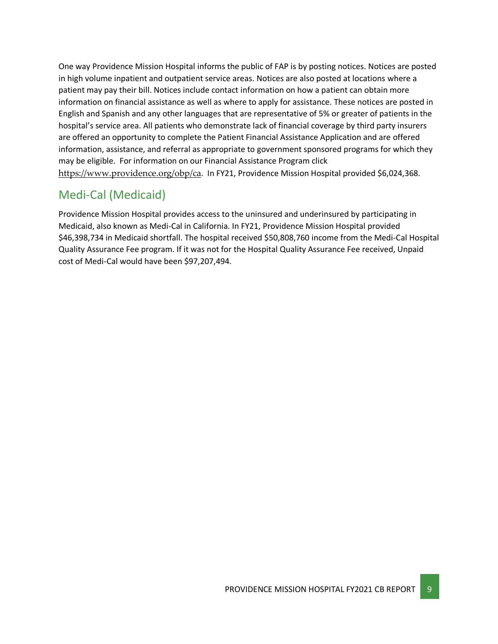One way Providence Mission Hospital informs the public of FAP is by posting notices. Notices are posted in high volume inpatient and outpatient service areas. Notices are also posted at locations where a patient may pay their bill. Notices include contact information on how a patient can obtain more information on financial assistance as well as where to apply for assistance. These notices are posted in English and Spanish and any other languages that are representative of 5% or greater of patients in the hospital's service area. All patients who demonstrate lack of financial coverage by third party insurers are offered an opportunity to complete the Patient Financial Assistance Application and are offered information, assistance, and referral as appropriate to government sponsored programs for which they may be eligible. For information on our Financial Assistance Program click <https://www.providence.org/obp/ca>. In FY21, Providence Mission Hospital provided \$6,024,368.

### <span id="page-8-0"></span>Medi-Cal (Medicaid)

Providence Mission Hospital provides access to the uninsured and underinsured by participating in Medicaid, also known as Medi-Cal in California. In FY21, Providence Mission Hospital provided \$46,398,734 in Medicaid shortfall. The hospital received \$50,808,760 income from the Medi-Cal Hospital Quality Assurance Fee program. If it was not for the Hospital Quality Assurance Fee received, Unpaid cost of Medi-Cal would have been \$97,207,494.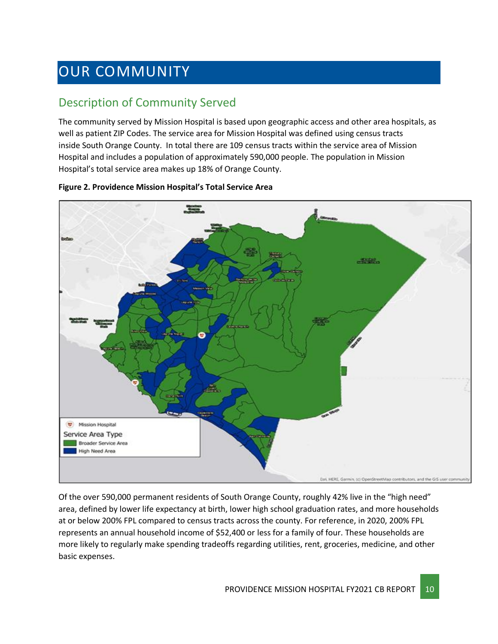# <span id="page-9-0"></span>OUR COMMUNITY

### <span id="page-9-1"></span>Description of Community Served

The community served by Mission Hospital is based upon geographic access and other area hospitals, as well as patient ZIP Codes. The service area for Mission Hospital was defined using census tracts inside South Orange County.  In total there are 109 census tracts within the service area of Mission Hospital and includes a population of approximately 590,000 people. The population in Mission Hospital's total service area makes up 18% of Orange County.



#### **Figure 2. Providence Mission Hospital's Total Service Area**

Of the over 590,000 permanent residents of South Orange County, roughly 42% live in the "high need" area, defined by lower life expectancy at birth, lower high school graduation rates, and more households at or below 200% FPL compared to census tracts across the county. For reference, in 2020, 200% FPL represents an annual household income of \$52,400 or less for a family of four. These households are more likely to regularly make spending tradeoffs regarding utilities, rent, groceries, medicine, and other basic expenses.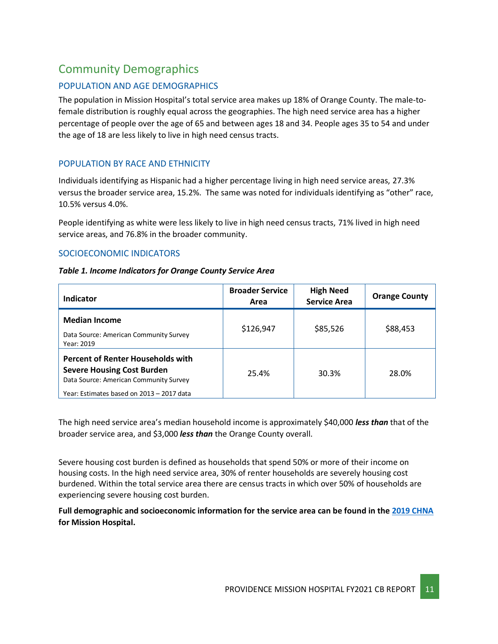### <span id="page-10-0"></span>Community Demographics

### POPULATION AND AGE DEMOGRAPHICS

The population in Mission Hospital's total service area makes up 18% of Orange County. The male-tofemale distribution is roughly equal across the geographies. The high need service area has a higher percentage of people over the age of 65 and between ages 18 and 34. People ages 35 to 54 and under the age of 18 are less likely to live in high need census tracts.

### POPULATION BY RACE AND ETHNICITY

Individuals identifying as Hispanic had a higher percentage living in high need service areas, 27.3% versus the broader service area, 15.2%. The same was noted for individuals identifying as "other" race, 10.5% versus 4.0%.

People identifying as white were less likely to live in high need census tracts, 71% lived in high need service areas, and 76.8% in the broader community.

### SOCIOECONOMIC INDICATORS

#### *Table 1. Income Indicators for Orange County Service Area*

| Indicator                                                                                                                                                            | <b>Broader Service</b><br>Area | <b>High Need</b><br><b>Service Area</b> | <b>Orange County</b> |
|----------------------------------------------------------------------------------------------------------------------------------------------------------------------|--------------------------------|-----------------------------------------|----------------------|
| <b>Median Income</b><br>Data Source: American Community Survey<br>Year: 2019                                                                                         | \$126,947                      | \$85,526                                | \$88,453             |
| <b>Percent of Renter Households with</b><br><b>Severe Housing Cost Burden</b><br>Data Source: American Community Survey<br>Year: Estimates based on 2013 - 2017 data | 25.4%                          | 30.3%                                   | 28.0%                |

The high need service area's median household income is approximately \$40,000 *less than* that of the broader service area, and \$3,000 *less than* the Orange County overall.

Severe housing cost burden is defined as households that spend 50% or more of their income on housing costs. In the high need service area, 30% of renter households are severely housing cost burdened. Within the total service area there are census tracts in which over 50% of households are experiencing severe housing cost burden.

**Full demographic and socioeconomic information for the service area can be found in the [2019 CHNA](https://www.providence.org/about/annual-report/chna-and-chip-reports) for Mission Hospital.**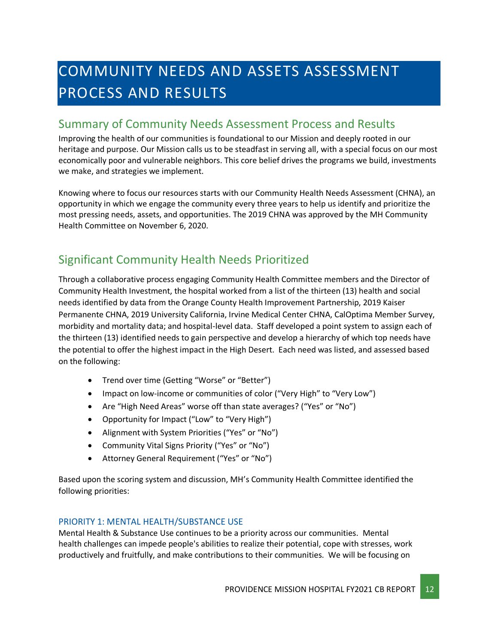# <span id="page-11-0"></span>COMMUNITY NEEDS AND ASSETS ASSESSMENT PROCESS AND RESULTS

### <span id="page-11-1"></span>Summary of Community Needs Assessment Process and Results

Improving the health of our communities is foundational to our Mission and deeply rooted in our heritage and purpose. Our Mission calls us to be steadfast in serving all, with a special focus on our most economically poor and vulnerable neighbors. This core belief drives the programs we build, investments we make, and strategies we implement.

Knowing where to focus our resources starts with our Community Health Needs Assessment (CHNA), an opportunity in which we engage the community every three years to help us identify and prioritize the most pressing needs, assets, and opportunities. The 2019 CHNA was approved by the MH Community Health Committee on November 6, 2020.

### <span id="page-11-2"></span>Significant Community Health Needs Prioritized

Through a collaborative process engaging Community Health Committee members and the Director of Community Health Investment, the hospital worked from a list of the thirteen (13) health and social needs identified by data from the Orange County Health Improvement Partnership, 2019 Kaiser Permanente CHNA, 2019 University California, Irvine Medical Center CHNA, CalOptima Member Survey, morbidity and mortality data; and hospital-level data. Staff developed a point system to assign each of the thirteen (13) identified needs to gain perspective and develop a hierarchy of which top needs have the potential to offer the highest impact in the High Desert. Each need was listed, and assessed based on the following:

- Trend over time (Getting "Worse" or "Better")
- Impact on low-income or communities of color ("Very High" to "Very Low")
- Are "High Need Areas" worse off than state averages? ("Yes" or "No")
- Opportunity for Impact ("Low" to "Very High")
- Alignment with System Priorities ("Yes" or "No")
- Community Vital Signs Priority ("Yes" or "No")
- Attorney General Requirement ("Yes" or "No")

Based upon the scoring system and discussion, MH's Community Health Committee identified the following priorities:

### PRIORITY 1: MENTAL HEALTH/SUBSTANCE USE

Mental Health & Substance Use continues to be a priority across our communities. Mental health challenges can impede people's abilities to realize their potential, cope with stresses, work productively and fruitfully, and make contributions to their communities. We will be focusing on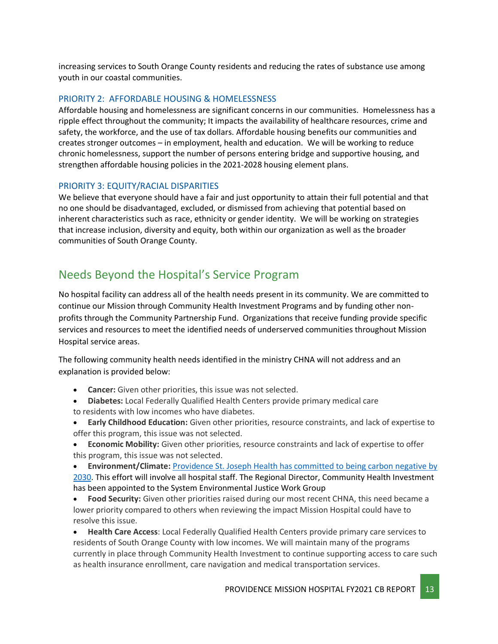increasing services to South Orange County residents and reducing the rates of substance use among youth in our coastal communities.

### PRIORITY 2: AFFORDABLE HOUSING & HOMELESSNESS

Affordable housing and homelessness are significant concerns in our communities. Homelessness has a ripple effect throughout the community; It impacts the availability of healthcare resources, crime and safety, the workforce, and the use of tax dollars. Affordable housing benefits our communities and creates stronger outcomes – in employment, health and education. We will be working to reduce chronic homelessness, support the number of persons entering bridge and supportive housing, and strengthen affordable housing policies in the 2021-2028 housing element plans.

### PRIORITY 3: EQUITY/RACIAL DISPARITIES

We believe that everyone should have a fair and just opportunity to attain their full potential and that no one should be disadvantaged, excluded, or dismissed from achieving that potential based on inherent characteristics such as race, ethnicity or gender identity. We will be working on strategies that increase inclusion, diversity and equity, both within our organization as well as the broader communities of South Orange County.

### <span id="page-12-0"></span>Needs Beyond the Hospital's Service Program

No hospital facility can address all of the health needs present in its community. We are committed to continue our Mission through Community Health Investment Programs and by funding other nonprofits through the Community Partnership Fund. Organizations that receive funding provide specific services and resources to meet the identified needs of underserved communities throughout Mission Hospital service areas.

The following community health needs identified in the ministry CHNA will not address and an explanation is provided below:

- **Cancer:** Given other priorities, this issue was not selected.
- **Diabetes:** Local Federally Qualified Health Centers provide primary medical care to residents with low incomes who have diabetes.
- **Early Childhood Education:** Given other priorities, resource constraints, and lack of expertise to offer this program, this issue was not selected.
- **Economic Mobility:** Given other priorities, resource constraints and lack of expertise to offer this program, this issue was not selected.

• **Environment/Climate:** [Providence St. Joseph Health has committed to](https://www.providence.org/about/community-partnerships/work-we-do/government-affairs-and-social-responsibility/environmental-stewardship/our-commitment-to-environmental-transformation) being carbon negative by [2030.](https://www.providence.org/about/community-partnerships/work-we-do/government-affairs-and-social-responsibility/environmental-stewardship/our-commitment-to-environmental-transformation) This effort will involve all hospital staff. The Regional Director, Community Health Investment has been appointed to the System Environmental Justice Work Group

• **Food Security:** Given other priorities raised during our most recent CHNA, this need became a lower priority compared to others when reviewing the impact Mission Hospital could have to resolve this issue.

• **Health Care Access**: Local Federally Qualified Health Centers provide primary care services to residents of South Orange County with low incomes. We will maintain many of the programs currently in place through Community Health Investment to continue supporting access to care such as health insurance enrollment, care navigation and medical transportation services.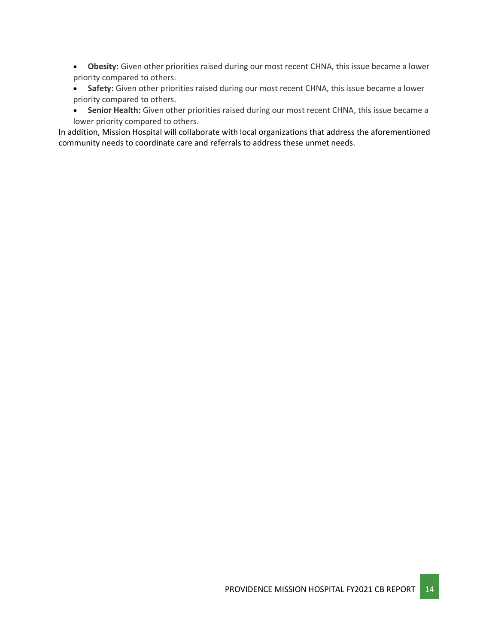- **Obesity:** Given other priorities raised during our most recent CHNA, this issue became a lower priority compared to others.
- **Safety:** Given other priorities raised during our most recent CHNA, this issue became a lower priority compared to others.
- **Senior Health:** Given other priorities raised during our most recent CHNA, this issue became a lower priority compared to others.

In addition, Mission Hospital will collaborate with local organizations that address the aforementioned community needs to coordinate care and referrals to address these unmet needs.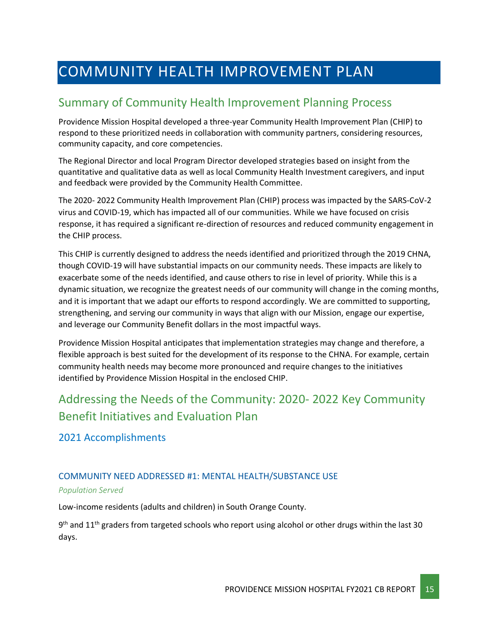# <span id="page-14-0"></span>COMMUNITY HEALTH IMPROVEMENT PLAN

### <span id="page-14-1"></span>Summary of Community Health Improvement Planning Process

Providence Mission Hospital developed a three-year Community Health Improvement Plan (CHIP) to respond to these prioritized needs in collaboration with community partners, considering resources, community capacity, and core competencies.

The Regional Director and local Program Director developed strategies based on insight from the quantitative and qualitative data as well as local Community Health Investment caregivers, and input and feedback were provided by the Community Health Committee.

The 2020- 2022 Community Health Improvement Plan (CHIP) process was impacted by the SARS-CoV-2 virus and COVID-19, which has impacted all of our communities. While we have focused on crisis response, it has required a significant re-direction of resources and reduced community engagement in the CHIP process.

This CHIP is currently designed to address the needs identified and prioritized through the 2019 CHNA, though COVID-19 will have substantial impacts on our community needs. These impacts are likely to exacerbate some of the needs identified, and cause others to rise in level of priority. While this is a dynamic situation, we recognize the greatest needs of our community will change in the coming months, and it is important that we adapt our efforts to respond accordingly. We are committed to supporting, strengthening, and serving our community in ways that align with our Mission, engage our expertise, and leverage our Community Benefit dollars in the most impactful ways.

Providence Mission Hospital anticipates that implementation strategies may change and therefore, a flexible approach is best suited for the development of its response to the CHNA. For example, certain community health needs may become more pronounced and require changes to the initiatives identified by Providence Mission Hospital in the enclosed CHIP.

### <span id="page-14-2"></span>Addressing the Needs of the Community: 2020- 2022 Key Community Benefit Initiatives and Evaluation Plan

2021 Accomplishments

### COMMUNITY NEED ADDRESSED #1: MENTAL HEALTH/SUBSTANCE USE

#### *Population Served*

Low-income residents (adults and children) in South Orange County.

 $9<sup>th</sup>$  and 11<sup>th</sup> graders from targeted schools who report using alcohol or other drugs within the last 30 days.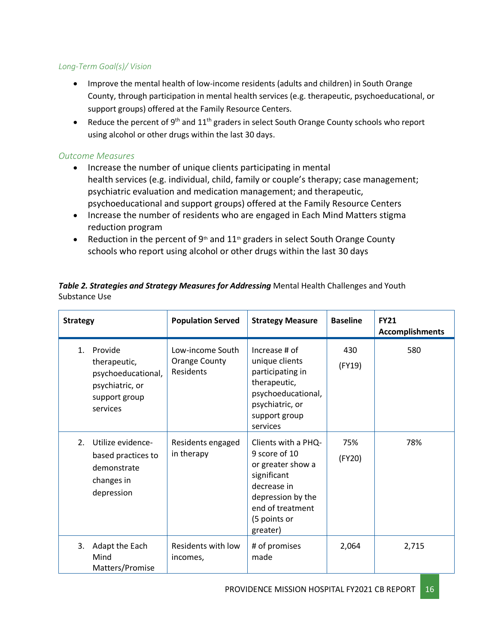### *Long-Term Goal(s)/ Vision*

- Improve the mental health of low-income residents (adults and children) in South Orange County, through participation in mental health services (e.g. therapeutic, psychoeducational, or support groups) offered at the Family Resource Centers.
- Reduce the percent of 9<sup>th</sup> and  $11<sup>th</sup>$  graders in select South Orange County schools who report using alcohol or other drugs within the last 30 days.

### *Outcome Measures*

- Increase the number of unique clients participating in mental health services (e.g. individual, child, family or couple's therapy; case management; psychiatric evaluation and medication management; and therapeutic, psychoeducational and support groups) offered at the Family Resource Centers
- Increase the number of residents who are engaged in Each Mind Matters stigma reduction program
- Reduction in the percent of 9<sup>th</sup> and 11<sup>th</sup> graders in select South Orange County schools who report using alcohol or other drugs within the last 30 days

Table 2. Strategies and Strategy Measures for Addressing Mental Health Challenges and Youth Substance Use

| <b>Strategy</b>                                                                                     | <b>Population Served</b><br><b>Strategy Measure</b>   |                                                                                                                                                              | <b>Baseline</b> | <b>FY21</b><br><b>Accomplishments</b> |
|-----------------------------------------------------------------------------------------------------|-------------------------------------------------------|--------------------------------------------------------------------------------------------------------------------------------------------------------------|-----------------|---------------------------------------|
| Provide<br>1.<br>therapeutic,<br>psychoeducational,<br>psychiatric, or<br>support group<br>services | Low-income South<br><b>Orange County</b><br>Residents | Increase # of<br>unique clients<br>participating in<br>therapeutic,<br>psychoeducational,<br>psychiatric, or<br>support group<br>services                    | 430<br>(FY19)   | 580                                   |
| Utilize evidence-<br>2.<br>based practices to<br>demonstrate<br>changes in<br>depression            | Residents engaged<br>in therapy                       | Clients with a PHQ-<br>9 score of 10<br>or greater show a<br>significant<br>decrease in<br>depression by the<br>end of treatment<br>(5 points or<br>greater) | 75%<br>(FY20)   | 78%                                   |
| 3.<br>Adapt the Each<br>Mind<br>Matters/Promise                                                     | Residents with low<br>incomes,                        | # of promises<br>made                                                                                                                                        | 2,064           | 2,715                                 |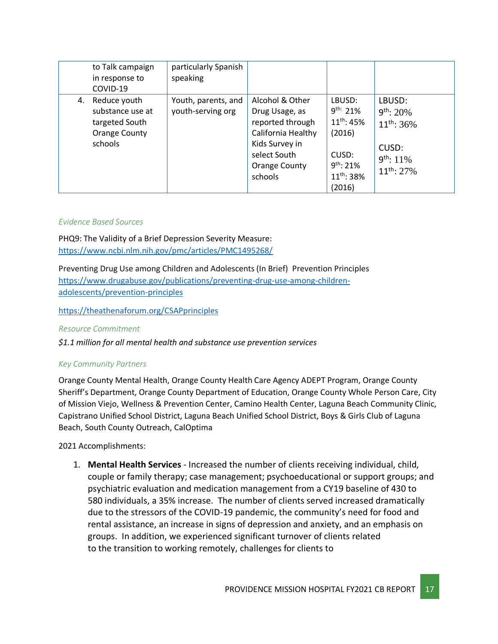|    | to Talk campaign<br>in response to<br>COVID-19                                 | particularly Spanish<br>speaking         |                                                                                                                                           |                                                                                                              |                                                                                           |
|----|--------------------------------------------------------------------------------|------------------------------------------|-------------------------------------------------------------------------------------------------------------------------------------------|--------------------------------------------------------------------------------------------------------------|-------------------------------------------------------------------------------------------|
| 4. | Reduce youth<br>substance use at<br>targeted South<br>Orange County<br>schools | Youth, parents, and<br>youth-serving org | Alcohol & Other<br>Drug Usage, as<br>reported through<br>California Healthy<br>Kids Survey in<br>select South<br>Orange County<br>schools | LBUSD:<br>$9^{th.}$ 21%<br>$11^{th}$ : 45%<br>(2016)<br>CUSD:<br>$9^{th}$ : 21%<br>$11^{th}$ : 38%<br>(2016) | LBUSD:<br>$9^{th}$ : 20%<br>$11^{th}$ : 36%<br>CUSD:<br>$9^{th}$ : 11%<br>$11^{th}$ : 27% |

#### *Evidence Based Sources*

PHQ9: The Validity of a Brief Depression Severity Measure: <https://www.ncbi.nlm.nih.gov/pmc/articles/PMC1495268/>

Preventing Drug Use among Children and Adolescents (In Brief) Prevention Principles [https://www.drugabuse.gov/publications/preventing-drug-use-among-children](https://www.drugabuse.gov/publications/preventing-drug-use-among-children-adolescents/prevention-principles)[adolescents/prevention-principles](https://www.drugabuse.gov/publications/preventing-drug-use-among-children-adolescents/prevention-principles)

<https://theathenaforum.org/CSAPprinciples>

#### *Resource Commitment*

*\$1.1 million for all mental health and substance use prevention services*

#### *Key Community Partners*

Orange County Mental Health, Orange County Health Care Agency ADEPT Program, Orange County Sheriff's Department, Orange County Department of Education, Orange County Whole Person Care, City of Mission Viejo, Wellness & Prevention Center, Camino Health Center, Laguna Beach Community Clinic, Capistrano Unified School District, Laguna Beach Unified School District, Boys & Girls Club of Laguna Beach, South County Outreach, CalOptima

2021 Accomplishments:

1. **Mental Health Services** - Increased the number of clients receiving individual, child, couple or family therapy; case management; psychoeducational or support groups; and psychiatric evaluation and medication management from a CY19 baseline of 430 to 580 individuals, a 35% increase. The number of clients served increased dramatically due to the stressors of the COVID-19 pandemic, the community's need for food and rental assistance, an increase in signs of depression and anxiety, and an emphasis on groups. In addition, we experienced significant turnover of clients related to the transition to working remotely, challenges for clients to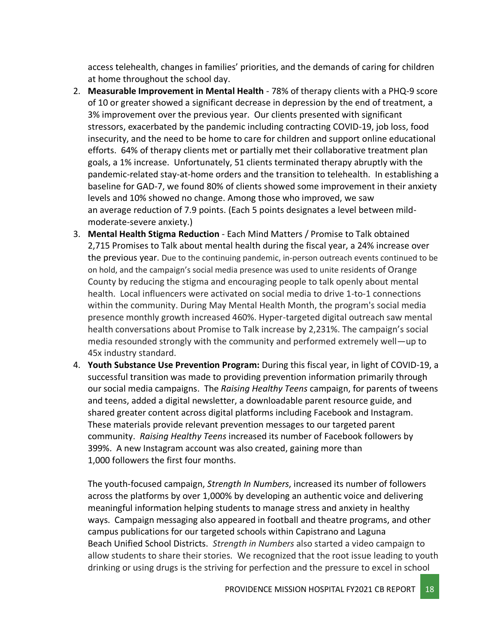access telehealth, changes in families' priorities, and the demands of caring for children at home throughout the school day.

- 2. **Measurable Improvement in Mental Health** 78% of therapy clients with a PHQ-9 score of 10 or greater showed a significant decrease in depression by the end of treatment, a 3% improvement over the previous year. Our clients presented with significant stressors, exacerbated by the pandemic including contracting COVID-19, job loss, food insecurity, and the need to be home to care for children and support online educational efforts. 64% of therapy clients met or partially met their collaborative treatment plan goals, a 1% increase. Unfortunately, 51 clients terminated therapy abruptly with the pandemic-related stay-at-home orders and the transition to telehealth. In establishing a baseline for GAD-7, we found 80% of clients showed some improvement in their anxiety levels and 10% showed no change. Among those who improved, we saw an average reduction of 7.9 points. (Each 5 points designates a level between mildmoderate-severe anxiety.)
- 3. **Mental Health Stigma Reduction** Each Mind Matters / Promise to Talk obtained 2,715 Promises to Talk about mental health during the fiscal year, a 24% increase over the previous year. Due to the continuing pandemic, in-person outreach events continued to be on hold, and the campaign's social media presence was used to unite residents of Orange County by reducing the stigma and encouraging people to talk openly about mental health. Local influencers were activated on social media to drive 1-to-1 connections within the community. During May Mental Health Month, the program's social media presence monthly growth increased 460%. Hyper-targeted digital outreach saw mental health conversations about Promise to Talk increase by 2,231%. The campaign's social media resounded strongly with the community and performed extremely well—up to 45x industry standard.
- 4. **Youth Substance Use Prevention Program:** During this fiscal year, in light of COVID-19, a successful transition was made to providing prevention information primarily through our social media campaigns. The *Raising Healthy Teens* campaign, for parents of tweens and teens, added a digital newsletter, a downloadable parent resource guide, and shared greater content across digital platforms including Facebook and Instagram. These materials provide relevant prevention messages to our targeted parent community. *Raising Healthy Teens* increased its number of Facebook followers by 399%. A new Instagram account was also created, gaining more than 1,000 followers the first four months.

The youth-focused campaign, *Strength In Numbers*, increased its number of followers across the platforms by over 1,000% by developing an authentic voice and delivering meaningful information helping students to manage stress and anxiety in healthy ways. Campaign messaging also appeared in football and theatre programs, and other campus publications for our targeted schools within Capistrano and Laguna Beach Unified School Districts. *Strength in Numbers* also started a video campaign to allow students to share their stories. We recognized that the root issue leading to youth drinking or using drugs is the striving for perfection and the pressure to excel in school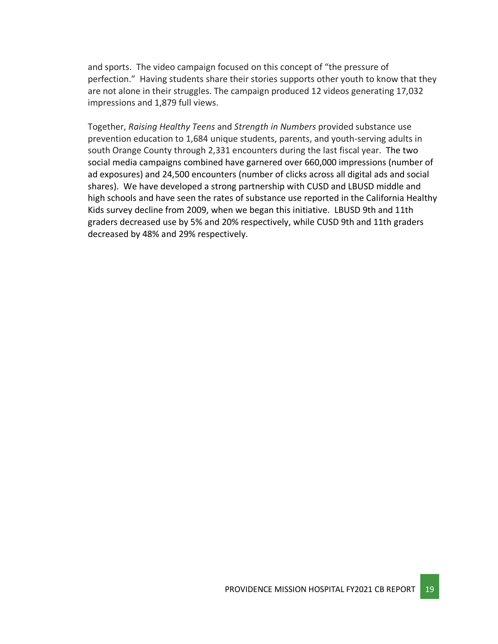and sports. The video campaign focused on this concept of "the pressure of perfection." Having students share their stories supports other youth to know that they are not alone in their struggles. The campaign produced 12 videos generating 17,032 impressions and 1,879 full views.

Together, *Raising Healthy Teens* and *Strength in Numbers* provided substance use prevention education to 1,684 unique students, parents, and youth-serving adults in south Orange County through 2,331 encounters during the last fiscal year. The two social media campaigns combined have garnered over 660,000 impressions (number of ad exposures) and 24,500 encounters (number of clicks across all digital ads and social shares). We have developed a strong partnership with CUSD and LBUSD middle and high schools and have seen the rates of substance use reported in the California Healthy Kids survey decline from 2009, when we began this initiative. LBUSD 9th and 11th graders decreased use by 5% and 20% respectively, while CUSD 9th and 11th graders decreased by 48% and 29% respectively.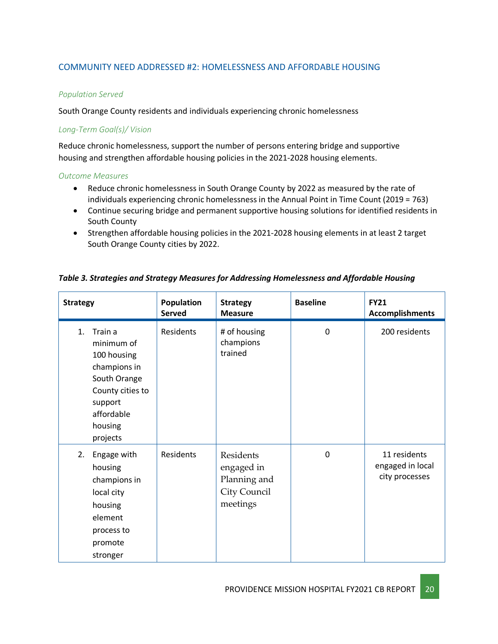### COMMUNITY NEED ADDRESSED #2: HOMELESSNESS AND AFFORDABLE HOUSING

### *Population Served*

South Orange County residents and individuals experiencing chronic homelessness

### *Long-Term Goal(s)/ Vision*

Reduce chronic homelessness, support the number of persons entering bridge and supportive housing and strengthen affordable housing policies in the 2021-2028 housing elements.

#### *Outcome Measures*

- Reduce chronic homelessness in South Orange County by 2022 as measured by the rate of individuals experiencing chronic homelessness in the Annual Point in Time Count (2019 = 763)
- Continue securing bridge and permanent supportive housing solutions for identified residents in South County
- Strengthen affordable housing policies in the 2021-2028 housing elements in at least 2 target South Orange County cities by 2022.

| <b>Strategy</b>                                                                                                                                            | Population<br><b>Served</b> | <b>Strategy</b><br><b>Measure</b>                                   | <b>Baseline</b> | <b>FY21</b><br><b>Accomplishments</b>              |
|------------------------------------------------------------------------------------------------------------------------------------------------------------|-----------------------------|---------------------------------------------------------------------|-----------------|----------------------------------------------------|
| 1 <sub>1</sub><br>Train a<br>minimum of<br>100 housing<br>champions in<br>South Orange<br>County cities to<br>support<br>affordable<br>housing<br>projects | Residents                   | # of housing<br>champions<br>trained                                | $\mathbf 0$     | 200 residents                                      |
| 2.<br>Engage with<br>housing<br>champions in<br>local city<br>housing<br>element<br>process to<br>promote<br>stronger                                      | Residents                   | Residents<br>engaged in<br>Planning and<br>City Council<br>meetings | $\mathbf 0$     | 11 residents<br>engaged in local<br>city processes |

#### *Table 3. Strategies and Strategy Measures for Addressing Homelessness and Affordable Housing*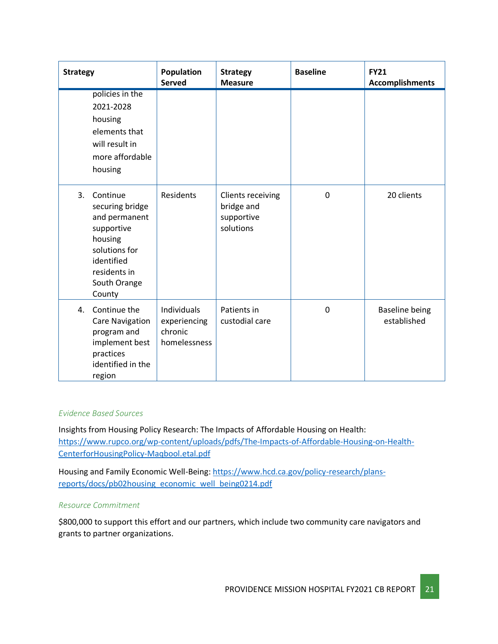| <b>Strategy</b> |                                                                                                                                                | Population<br><b>Served</b>                            | <b>Strategy</b><br><b>Measure</b>                          | <b>Baseline</b> | <b>FY21</b><br><b>Accomplishments</b> |
|-----------------|------------------------------------------------------------------------------------------------------------------------------------------------|--------------------------------------------------------|------------------------------------------------------------|-----------------|---------------------------------------|
|                 | policies in the<br>2021-2028<br>housing<br>elements that<br>will result in<br>more affordable<br>housing                                       |                                                        |                                                            |                 |                                       |
| 3.              | Continue<br>securing bridge<br>and permanent<br>supportive<br>housing<br>solutions for<br>identified<br>residents in<br>South Orange<br>County | Residents                                              | Clients receiving<br>bridge and<br>supportive<br>solutions | 0               | 20 clients                            |
| 4.              | Continue the<br><b>Care Navigation</b><br>program and<br>implement best<br>practices<br>identified in the<br>region                            | Individuals<br>experiencing<br>chronic<br>homelessness | Patients in<br>custodial care                              | $\mathbf 0$     | <b>Baseline being</b><br>established  |

#### *Evidence Based Sources*

Insights from Housing Policy Research: The Impacts of Affordable Housing on Health: [https://www.rupco.org/wp-content/uploads/pdfs/The-Impacts-of-Affordable-Housing-on-Health-](https://www.rupco.org/wp-content/uploads/pdfs/The-Impacts-of-Affordable-Housing-on-Health-CenterforHousingPolicy-Maqbool.etal.pdf)[CenterforHousingPolicy-Maqbool.etal.pdf](https://www.rupco.org/wp-content/uploads/pdfs/The-Impacts-of-Affordable-Housing-on-Health-CenterforHousingPolicy-Maqbool.etal.pdf)

Housing and Family Economic Well-Being[: https://www.hcd.ca.gov/policy-research/plans](https://www.hcd.ca.gov/policy-research/plans-reports/docs/pb02housing_economic_well_being0214.pdf)[reports/docs/pb02housing\\_economic\\_well\\_being0214.pdf](https://www.hcd.ca.gov/policy-research/plans-reports/docs/pb02housing_economic_well_being0214.pdf)

### *Resource Commitment*

\$800,000 to support this effort and our partners, which include two community care navigators and grants to partner organizations.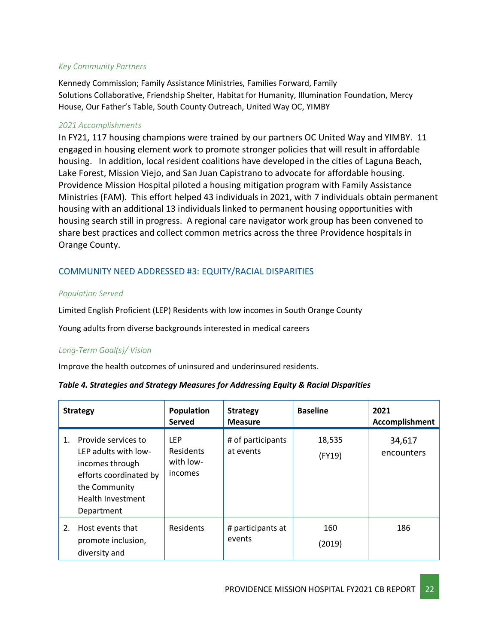### *Key Community Partners*

Kennedy Commission; Family Assistance Ministries, Families Forward, Family Solutions Collaborative, Friendship Shelter, Habitat for Humanity, Illumination Foundation, Mercy House, Our Father's Table, South County Outreach, United Way OC, YIMBY

### *2021 Accomplishments*

In FY21, 117 housing champions were trained by our partners OC United Way and YIMBY. 11 engaged in housing element work to promote stronger policies that will result in affordable housing. In addition, local resident coalitions have developed in the cities of Laguna Beach, Lake Forest, Mission Viejo, and San Juan Capistrano to advocate for affordable housing. Providence Mission Hospital piloted a housing mitigation program with Family Assistance Ministries (FAM). This effort helped 43 individuals in 2021, with 7 individuals obtain permanent housing with an additional 13 individuals linked to permanent housing opportunities with housing search still in progress. A regional care navigator work group has been convened to share best practices and collect common metrics across the three Providence hospitals in Orange County.

### COMMUNITY NEED ADDRESSED #3: EQUITY/RACIAL DISPARITIES

### *Population Served*

Limited English Proficient (LEP) Residents with low incomes in South Orange County

Young adults from diverse backgrounds interested in medical careers

### *Long-Term Goal(s)/ Vision*

Improve the health outcomes of uninsured and underinsured residents.

| Table 4. Strategies and Strategy Measures for Addressing Equity & Racial Disparities |  |  |
|--------------------------------------------------------------------------------------|--|--|
|--------------------------------------------------------------------------------------|--|--|

|    | <b>Strategy</b>                                                                                                                              | Population<br>Served                            | <b>Strategy</b><br><b>Measure</b> | <b>Baseline</b>  | 2021<br>Accomplishment |
|----|----------------------------------------------------------------------------------------------------------------------------------------------|-------------------------------------------------|-----------------------------------|------------------|------------------------|
| 1. | Provide services to<br>LEP adults with low-<br>incomes through<br>efforts coordinated by<br>the Community<br>Health Investment<br>Department | <b>LEP</b><br>Residents<br>with low-<br>incomes | # of participants<br>at events    | 18,535<br>(FY19) | 34,617<br>encounters   |
| 2. | Host events that<br>promote inclusion,<br>diversity and                                                                                      | Residents                                       | # participants at<br>events       | 160<br>(2019)    | 186                    |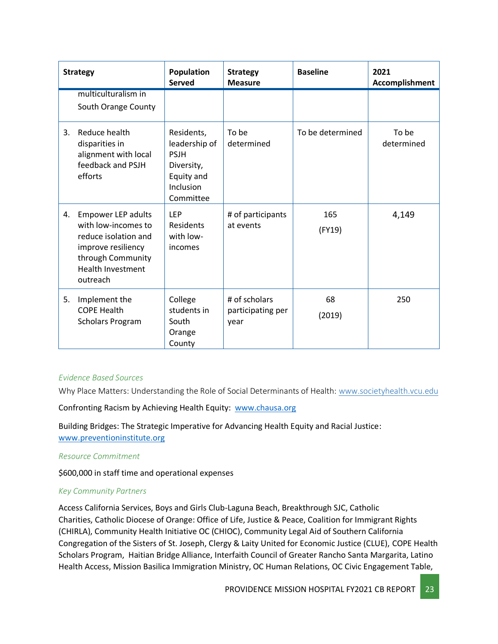|    | <b>Strategy</b>                                                                                                                                             | <b>Population</b><br><b>Served</b>                                                               | <b>Strategy</b><br><b>Measure</b>          | <b>Baseline</b>  | 2021<br>Accomplishment |
|----|-------------------------------------------------------------------------------------------------------------------------------------------------------------|--------------------------------------------------------------------------------------------------|--------------------------------------------|------------------|------------------------|
|    | multiculturalism in<br>South Orange County                                                                                                                  |                                                                                                  |                                            |                  |                        |
| 3. | Reduce health<br>disparities in<br>alignment with local<br>feedback and PSJH<br>efforts                                                                     | Residents,<br>leadership of<br><b>PSJH</b><br>Diversity,<br>Equity and<br>Inclusion<br>Committee | To be<br>determined                        | To be determined | To be<br>determined    |
| 4. | <b>Empower LEP adults</b><br>with low-incomes to<br>reduce isolation and<br>improve resiliency<br>through Community<br><b>Health Investment</b><br>outreach | LEP<br><b>Residents</b><br>with low-<br>incomes                                                  | # of participants<br>at events             | 165<br>(FY19)    | 4,149                  |
| 5. | Implement the<br><b>COPE Health</b><br>Scholars Program                                                                                                     | College<br>students in<br>South<br>Orange<br>County                                              | # of scholars<br>participating per<br>year | 68<br>(2019)     | 250                    |

### *Evidence Based Sources*

Why Place Matters: Understanding the Role of Social Determinants of Health: [www.societyhealth.vcu.edu](http://www.societyhealth.vcu.edu/)

Confronting Racism by Achieving Health Equity: [www.chausa.org](http://www.chausa.org/)

Building Bridges: The Strategic Imperative for Advancing Health Equity and Racial Justice: [www.preventioninstitute.org](http://www.preventioninstitute.org/)

#### *Resource Commitment*

\$600,000 in staff time and operational expenses

#### *Key Community Partners*

Access California Services, Boys and Girls Club-Laguna Beach, Breakthrough SJC, Catholic Charities, Catholic Diocese of Orange: Office of Life, Justice & Peace, Coalition for Immigrant Rights (CHIRLA), Community Health Initiative OC (CHIOC), Community Legal Aid of Southern California Congregation of the Sisters of St. Joseph, Clergy & Laity United for Economic Justice (CLUE), COPE Health Scholars Program, Haitian Bridge Alliance, Interfaith Council of Greater Rancho Santa Margarita, Latino Health Access, Mission Basilica Immigration Ministry, OC Human Relations, OC Civic Engagement Table,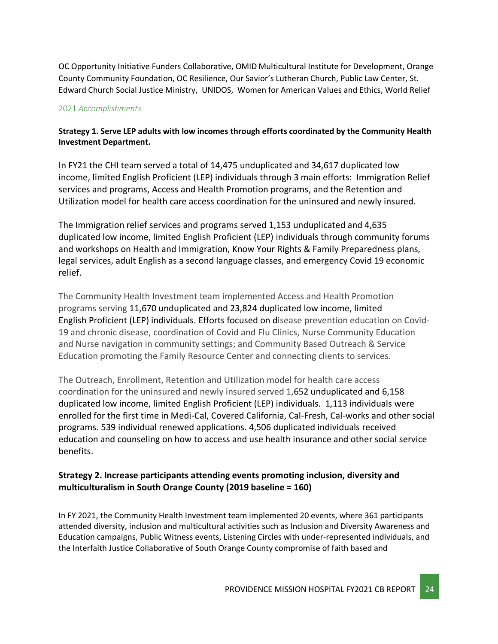OC Opportunity Initiative Funders Collaborative, OMID Multicultural Institute for Development, Orange County Community Foundation, OC Resilience, Our Savior's Lutheran Church, Public Law Center, St. Edward Church Social Justice Ministry, UNIDOS, Women for American Values and Ethics, World Relief

### 2021 *Accomplishments*

### **Strategy 1. Serve LEP adults with low incomes through efforts coordinated by the Community Health Investment Department.**

In FY21 the CHI team served a total of 14,475 unduplicated and 34,617 duplicated low income, limited English Proficient (LEP) individuals through 3 main efforts:  Immigration Relief services and programs, Access and Health Promotion programs, and the Retention and Utilization model for health care access coordination for the uninsured and newly insured.

The Immigration relief services and programs served 1,153 unduplicated and 4,635 duplicated low income, limited English Proficient (LEP) individuals through community forums and workshops on Health and Immigration, Know Your Rights & Family Preparedness plans, legal services, adult English as a second language classes, and emergency Covid 19 economic relief.

The Community Health Investment team implemented Access and Health Promotion programs serving 11,670 unduplicated and 23,824 duplicated low income, limited English Proficient (LEP) individuals. Efforts focused on disease prevention education on Covid-19 and chronic disease, coordination of Covid and Flu Clinics, Nurse Community Education and Nurse navigation in community settings; and Community Based Outreach & Service Education promoting the Family Resource Center and connecting clients to services.

The Outreach, Enrollment, Retention and Utilization model for health care access coordination for the uninsured and newly insured served 1,652 unduplicated and 6,158 duplicated low income, limited English Proficient (LEP) individuals. 1,113 individuals were enrolled for the first time in Medi-Cal, Covered California, Cal-Fresh, Cal-works and other social programs. 539 individual renewed applications. 4,506 duplicated individuals received education and counseling on how to access and use health insurance and other social service benefits.

### **Strategy 2. Increase participants attending events promoting inclusion, diversity and multiculturalism in South Orange County (2019 baseline = 160)**

In FY 2021, the Community Health Investment team implemented 20 events, where 361 participants attended diversity, inclusion and multicultural activities such as Inclusion and Diversity Awareness and Education campaigns, Public Witness events, Listening Circles with under-represented individuals, and the Interfaith Justice Collaborative of South Orange County compromise of faith based and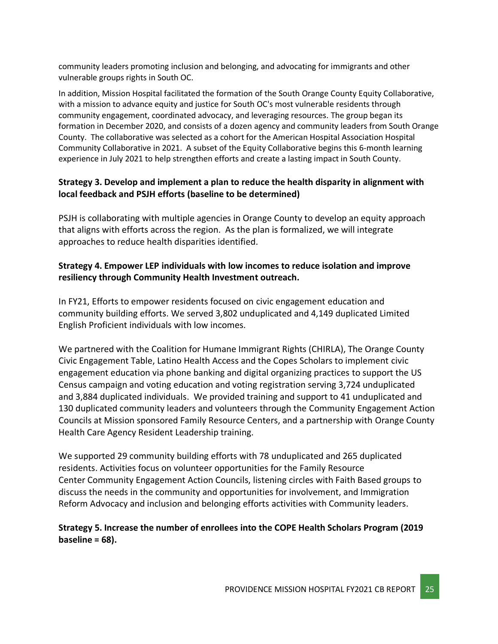community leaders promoting inclusion and belonging, and advocating for immigrants and other vulnerable groups rights in South OC.

In addition, Mission Hospital facilitated the formation of the South Orange County Equity Collaborative, with a mission to advance equity and justice for South OC's most vulnerable residents through community engagement, coordinated advocacy, and leveraging resources. The group began its formation in December 2020, and consists of a dozen agency and community leaders from South Orange County. The collaborative was selected as a cohort for the American Hospital Association Hospital Community Collaborative in 2021. A subset of the Equity Collaborative begins this 6-month learning experience in July 2021 to help strengthen efforts and create a lasting impact in South County.

### **Strategy 3. Develop and implement a plan to reduce the health disparity in alignment with local feedback and PSJH efforts (baseline to be determined)**

PSJH is collaborating with multiple agencies in Orange County to develop an equity approach that aligns with efforts across the region. As the plan is formalized, we will integrate approaches to reduce health disparities identified.

### **Strategy 4. Empower LEP individuals with low incomes to reduce isolation and improve resiliency through Community Health Investment outreach.**

In FY21, Efforts to empower residents focused on civic engagement education and community building efforts. We served 3,802 unduplicated and 4,149 duplicated Limited English Proficient individuals with low incomes.

We partnered with the Coalition for Humane Immigrant Rights (CHIRLA), The Orange County Civic Engagement Table, Latino Health Access and the Copes Scholars to implement civic engagement education via phone banking and digital organizing practices to support the US Census campaign and voting education and voting registration serving 3,724 unduplicated and 3,884 duplicated individuals. We provided training and support to 41 unduplicated and 130 duplicated community leaders and volunteers through the Community Engagement Action Councils at Mission sponsored Family Resource Centers, and a partnership with Orange County Health Care Agency Resident Leadership training.

We supported 29 community building efforts with 78 unduplicated and 265 duplicated residents. Activities focus on volunteer opportunities for the Family Resource Center Community Engagement Action Councils, listening circles with Faith Based groups to discuss the needs in the community and opportunities for involvement, and Immigration Reform Advocacy and inclusion and belonging efforts activities with Community leaders.

### **Strategy 5. Increase the number of enrollees into the COPE Health Scholars Program (2019 baseline = 68).**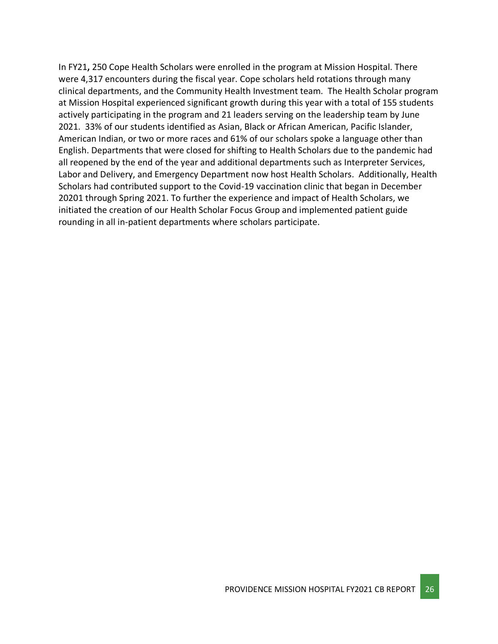<span id="page-25-0"></span>In FY21**,** 250 Cope Health Scholars were enrolled in the program at Mission Hospital. There were 4,317 encounters during the fiscal year. Cope scholars held rotations through many clinical departments, and the Community Health Investment team. The Health Scholar program at Mission Hospital experienced significant growth during this year with a total of 155 students actively participating in the program and 21 leaders serving on the leadership team by June 2021. 33% of our students identified as Asian, Black or African American, Pacific Islander, American Indian, or two or more races and 61% of our scholars spoke a language other than English. Departments that were closed for shifting to Health Scholars due to the pandemic had all reopened by the end of the year and additional departments such as Interpreter Services, Labor and Delivery, and Emergency Department now host Health Scholars. Additionally, Health Scholars had contributed support to the Covid-19 vaccination clinic that began in December 20201 through Spring 2021. To further the experience and impact of Health Scholars, we initiated the creation of our Health Scholar Focus Group and implemented patient guide rounding in all in-patient departments where scholars participate.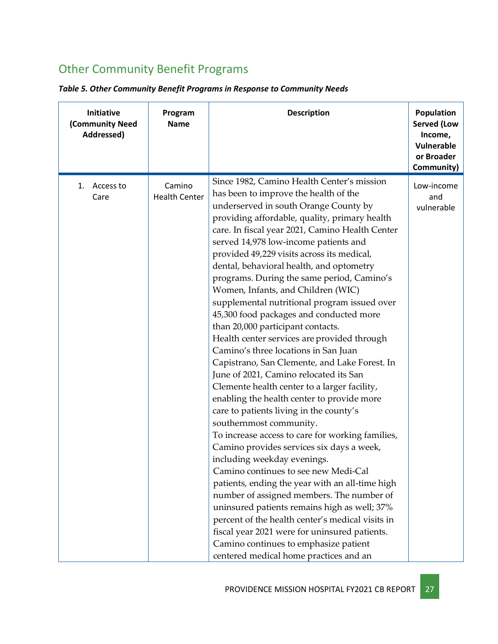# Other Community Benefit Programs

|  |  |  |  | Table 5. Other Community Benefit Programs in Response to Community Needs |
|--|--|--|--|--------------------------------------------------------------------------|
|--|--|--|--|--------------------------------------------------------------------------|

| Initiative<br>(Community Need<br>Addressed) | Program<br><b>Name</b>         | <b>Description</b>                                                                                                                                                                                                                                                                                                                                                                                                                                                                                                                                                                                                                                                                                                                                                                                                                                                                                                                                                                                                                                                                                                                                                                                                                                                                                                                                                                                                                                            | Population<br><b>Served (Low</b><br>Income,<br>Vulnerable<br>or Broader<br>Community) |
|---------------------------------------------|--------------------------------|---------------------------------------------------------------------------------------------------------------------------------------------------------------------------------------------------------------------------------------------------------------------------------------------------------------------------------------------------------------------------------------------------------------------------------------------------------------------------------------------------------------------------------------------------------------------------------------------------------------------------------------------------------------------------------------------------------------------------------------------------------------------------------------------------------------------------------------------------------------------------------------------------------------------------------------------------------------------------------------------------------------------------------------------------------------------------------------------------------------------------------------------------------------------------------------------------------------------------------------------------------------------------------------------------------------------------------------------------------------------------------------------------------------------------------------------------------------|---------------------------------------------------------------------------------------|
| 1. Access to<br>Care                        | Camino<br><b>Health Center</b> | Since 1982, Camino Health Center's mission<br>has been to improve the health of the<br>underserved in south Orange County by<br>providing affordable, quality, primary health<br>care. In fiscal year 2021, Camino Health Center<br>served 14,978 low-income patients and<br>provided 49,229 visits across its medical,<br>dental, behavioral health, and optometry<br>programs. During the same period, Camino's<br>Women, Infants, and Children (WIC)<br>supplemental nutritional program issued over<br>45,300 food packages and conducted more<br>than 20,000 participant contacts.<br>Health center services are provided through<br>Camino's three locations in San Juan<br>Capistrano, San Clemente, and Lake Forest. In<br>June of 2021, Camino relocated its San<br>Clemente health center to a larger facility,<br>enabling the health center to provide more<br>care to patients living in the county's<br>southernmost community.<br>To increase access to care for working families,<br>Camino provides services six days a week,<br>including weekday evenings.<br>Camino continues to see new Medi-Cal<br>patients, ending the year with an all-time high<br>number of assigned members. The number of<br>uninsured patients remains high as well; 37%<br>percent of the health center's medical visits in<br>fiscal year 2021 were for uninsured patients.<br>Camino continues to emphasize patient<br>centered medical home practices and an | Low-income<br>and<br>vulnerable                                                       |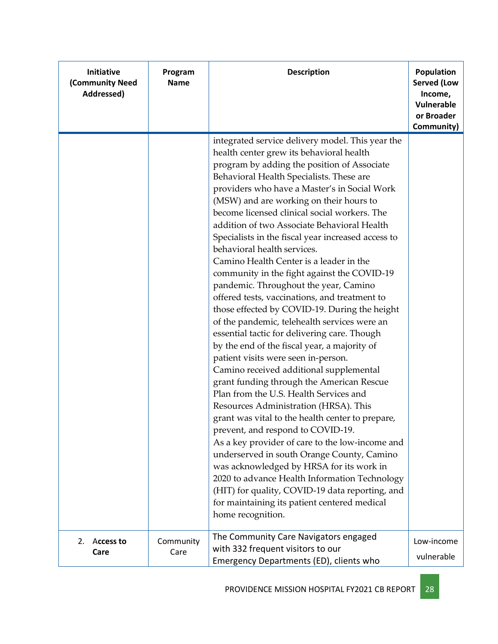| Initiative<br>(Community Need<br>Addressed) | Program<br><b>Name</b> | <b>Description</b>                                                                                                                                                                                                                                                                                                                                                                                                                                                                                                                                                                                                                                                                                                                                                                                                                                                                                                                                                                                                                                                                                                                                                                                                                                                                                                                                                                                                                                                                           | Population<br><b>Served (Low</b><br>Income,<br>Vulnerable<br>or Broader<br>Community) |
|---------------------------------------------|------------------------|----------------------------------------------------------------------------------------------------------------------------------------------------------------------------------------------------------------------------------------------------------------------------------------------------------------------------------------------------------------------------------------------------------------------------------------------------------------------------------------------------------------------------------------------------------------------------------------------------------------------------------------------------------------------------------------------------------------------------------------------------------------------------------------------------------------------------------------------------------------------------------------------------------------------------------------------------------------------------------------------------------------------------------------------------------------------------------------------------------------------------------------------------------------------------------------------------------------------------------------------------------------------------------------------------------------------------------------------------------------------------------------------------------------------------------------------------------------------------------------------|---------------------------------------------------------------------------------------|
|                                             |                        | integrated service delivery model. This year the<br>health center grew its behavioral health<br>program by adding the position of Associate<br>Behavioral Health Specialists. These are<br>providers who have a Master's in Social Work<br>(MSW) and are working on their hours to<br>become licensed clinical social workers. The<br>addition of two Associate Behavioral Health<br>Specialists in the fiscal year increased access to<br>behavioral health services.<br>Camino Health Center is a leader in the<br>community in the fight against the COVID-19<br>pandemic. Throughout the year, Camino<br>offered tests, vaccinations, and treatment to<br>those effected by COVID-19. During the height<br>of the pandemic, telehealth services were an<br>essential tactic for delivering care. Though<br>by the end of the fiscal year, a majority of<br>patient visits were seen in-person.<br>Camino received additional supplemental<br>grant funding through the American Rescue<br>Plan from the U.S. Health Services and<br>Resources Administration (HRSA). This<br>grant was vital to the health center to prepare,<br>prevent, and respond to COVID-19.<br>As a key provider of care to the low-income and<br>underserved in south Orange County, Camino<br>was acknowledged by HRSA for its work in<br>2020 to advance Health Information Technology<br>(HIT) for quality, COVID-19 data reporting, and<br>for maintaining its patient centered medical<br>home recognition. |                                                                                       |
| 2.<br>Access to<br>Care                     | Community<br>Care      | The Community Care Navigators engaged<br>with 332 frequent visitors to our<br>Emergency Departments (ED), clients who                                                                                                                                                                                                                                                                                                                                                                                                                                                                                                                                                                                                                                                                                                                                                                                                                                                                                                                                                                                                                                                                                                                                                                                                                                                                                                                                                                        | Low-income<br>vulnerable                                                              |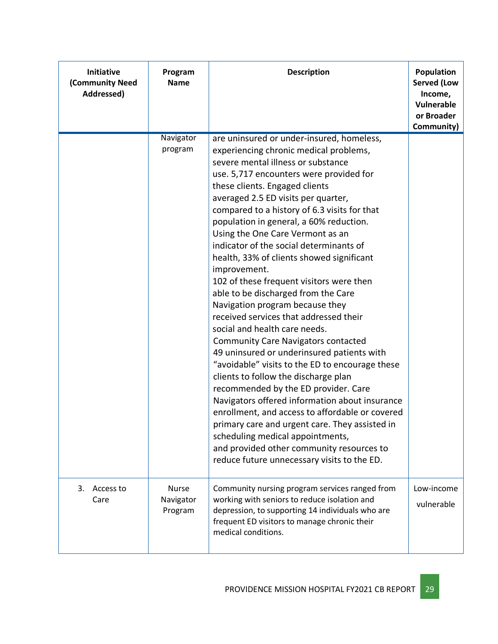| Initiative<br>(Community Need<br>Addressed) | Program<br><b>Name</b>               | <b>Description</b>                                                                                                                                                                                                                                                                                                                                                                                                                                                                                                                                                                                                                                                                                                                                                                                                                                                                                                                                                                                                                                                                                                                                                                                          | <b>Population</b><br><b>Served (Low</b><br>Income,<br><b>Vulnerable</b><br>or Broader<br>Community) |
|---------------------------------------------|--------------------------------------|-------------------------------------------------------------------------------------------------------------------------------------------------------------------------------------------------------------------------------------------------------------------------------------------------------------------------------------------------------------------------------------------------------------------------------------------------------------------------------------------------------------------------------------------------------------------------------------------------------------------------------------------------------------------------------------------------------------------------------------------------------------------------------------------------------------------------------------------------------------------------------------------------------------------------------------------------------------------------------------------------------------------------------------------------------------------------------------------------------------------------------------------------------------------------------------------------------------|-----------------------------------------------------------------------------------------------------|
|                                             | Navigator<br>program                 | are uninsured or under-insured, homeless,<br>experiencing chronic medical problems,<br>severe mental illness or substance<br>use. 5,717 encounters were provided for<br>these clients. Engaged clients<br>averaged 2.5 ED visits per quarter,<br>compared to a history of 6.3 visits for that<br>population in general, a 60% reduction.<br>Using the One Care Vermont as an<br>indicator of the social determinants of<br>health, 33% of clients showed significant<br>improvement.<br>102 of these frequent visitors were then<br>able to be discharged from the Care<br>Navigation program because they<br>received services that addressed their<br>social and health care needs.<br><b>Community Care Navigators contacted</b><br>49 uninsured or underinsured patients with<br>"avoidable" visits to the ED to encourage these<br>clients to follow the discharge plan<br>recommended by the ED provider. Care<br>Navigators offered information about insurance<br>enrollment, and access to affordable or covered<br>primary care and urgent care. They assisted in<br>scheduling medical appointments,<br>and provided other community resources to<br>reduce future unnecessary visits to the ED. |                                                                                                     |
| 3.<br>Access to<br>Care                     | <b>Nurse</b><br>Navigator<br>Program | Community nursing program services ranged from<br>working with seniors to reduce isolation and<br>depression, to supporting 14 individuals who are<br>frequent ED visitors to manage chronic their<br>medical conditions.                                                                                                                                                                                                                                                                                                                                                                                                                                                                                                                                                                                                                                                                                                                                                                                                                                                                                                                                                                                   | Low-income<br>vulnerable                                                                            |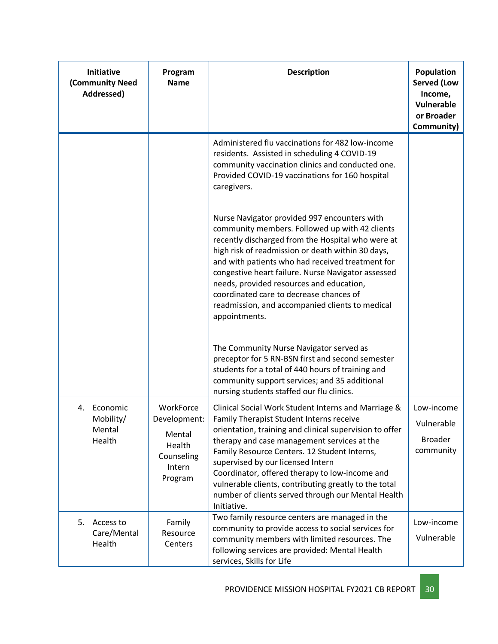| Initiative<br>(Community Need<br>Addressed)     | Program<br><b>Name</b>                                                           | <b>Description</b>                                                                                                                                                                                                                                                                                                                                                                                                                                                             | Population<br><b>Served (Low</b><br>Income,<br>Vulnerable<br>or Broader<br>Community) |
|-------------------------------------------------|----------------------------------------------------------------------------------|--------------------------------------------------------------------------------------------------------------------------------------------------------------------------------------------------------------------------------------------------------------------------------------------------------------------------------------------------------------------------------------------------------------------------------------------------------------------------------|---------------------------------------------------------------------------------------|
|                                                 |                                                                                  | Administered flu vaccinations for 482 low-income<br>residents. Assisted in scheduling 4 COVID-19<br>community vaccination clinics and conducted one.<br>Provided COVID-19 vaccinations for 160 hospital<br>caregivers.                                                                                                                                                                                                                                                         |                                                                                       |
|                                                 |                                                                                  | Nurse Navigator provided 997 encounters with<br>community members. Followed up with 42 clients<br>recently discharged from the Hospital who were at<br>high risk of readmission or death within 30 days,<br>and with patients who had received treatment for<br>congestive heart failure. Nurse Navigator assessed<br>needs, provided resources and education,<br>coordinated care to decrease chances of<br>readmission, and accompanied clients to medical<br>appointments.  |                                                                                       |
|                                                 |                                                                                  | The Community Nurse Navigator served as<br>preceptor for 5 RN-BSN first and second semester<br>students for a total of 440 hours of training and<br>community support services; and 35 additional<br>nursing students staffed our flu clinics.                                                                                                                                                                                                                                 |                                                                                       |
| Economic<br>4.<br>Mobility/<br>Mental<br>Health | WorkForce<br>Development:<br>Mental<br>Health<br>Counseling<br>Intern<br>Program | Clinical Social Work Student Interns and Marriage &<br>Family Therapist Student Interns receive<br>orientation, training and clinical supervision to offer<br>therapy and case management services at the<br>Family Resource Centers. 12 Student Interns,<br>supervised by our licensed Intern<br>Coordinator, offered therapy to low-income and<br>vulnerable clients, contributing greatly to the total<br>number of clients served through our Mental Health<br>Initiative. | Low-income<br>Vulnerable<br><b>Broader</b><br>community                               |
| 5.<br>Access to<br>Care/Mental<br>Health        | Family<br>Resource<br>Centers                                                    | Two family resource centers are managed in the<br>community to provide access to social services for<br>community members with limited resources. The<br>following services are provided: Mental Health<br>services, Skills for Life                                                                                                                                                                                                                                           | Low-income<br>Vulnerable                                                              |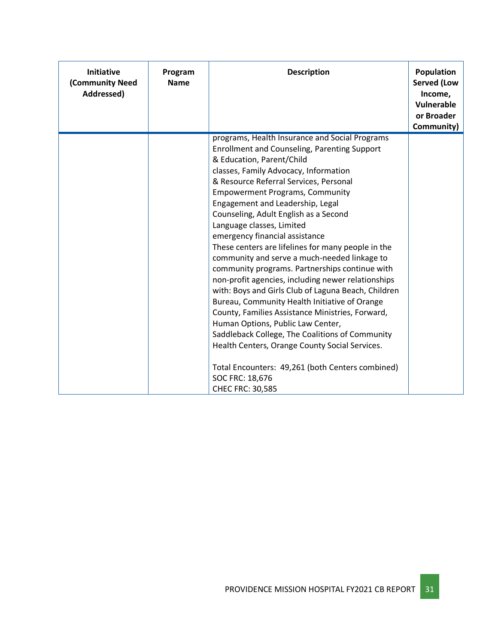| <b>Initiative</b><br>(Community Need<br>Addressed) | Program<br><b>Name</b> | <b>Description</b>                                                                                                                                                                                                                                                                                                                                                                                                                                                                                                                                                                                                                                                                                                                                                                                                                                                                                                                                                                                                         | Population<br><b>Served (Low</b><br>Income,<br>Vulnerable<br>or Broader<br>Community) |
|----------------------------------------------------|------------------------|----------------------------------------------------------------------------------------------------------------------------------------------------------------------------------------------------------------------------------------------------------------------------------------------------------------------------------------------------------------------------------------------------------------------------------------------------------------------------------------------------------------------------------------------------------------------------------------------------------------------------------------------------------------------------------------------------------------------------------------------------------------------------------------------------------------------------------------------------------------------------------------------------------------------------------------------------------------------------------------------------------------------------|---------------------------------------------------------------------------------------|
|                                                    |                        | programs, Health Insurance and Social Programs<br><b>Enrollment and Counseling, Parenting Support</b><br>& Education, Parent/Child<br>classes, Family Advocacy, Information<br>& Resource Referral Services, Personal<br><b>Empowerment Programs, Community</b><br>Engagement and Leadership, Legal<br>Counseling, Adult English as a Second<br>Language classes, Limited<br>emergency financial assistance<br>These centers are lifelines for many people in the<br>community and serve a much-needed linkage to<br>community programs. Partnerships continue with<br>non-profit agencies, including newer relationships<br>with: Boys and Girls Club of Laguna Beach, Children<br>Bureau, Community Health Initiative of Orange<br>County, Families Assistance Ministries, Forward,<br>Human Options, Public Law Center,<br>Saddleback College, The Coalitions of Community<br>Health Centers, Orange County Social Services.<br>Total Encounters: 49,261 (both Centers combined)<br>SOC FRC: 18,676<br>CHEC FRC: 30,585 |                                                                                       |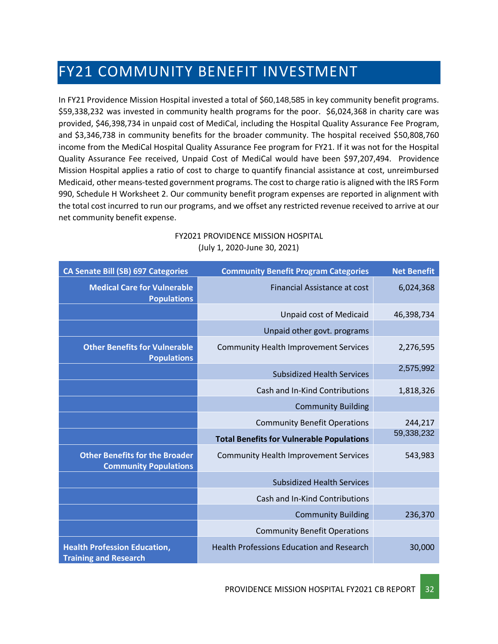# <span id="page-31-0"></span>FY21 COMMUNITY BENEFIT INVESTMENT

In FY21 Providence Mission Hospital invested a total of \$60,148,585 in key community benefit programs. \$59,338,232 was invested in community health programs for the poor. \$6,024,368 in charity care was provided, \$46,398,734 in unpaid cost of MediCal, including the Hospital Quality Assurance Fee Program, and \$3,346,738 in community benefits for the broader community. The hospital received \$50,808,760 income from the MediCal Hospital Quality Assurance Fee program for FY21. If it was not for the Hospital Quality Assurance Fee received, Unpaid Cost of MediCal would have been \$97,207,494. Providence Mission Hospital applies a ratio of cost to charge to quantify financial assistance at cost, unreimbursed Medicaid, other means-tested government programs. The cost to charge ratio is aligned with the IRS Form 990, Schedule H Worksheet 2. Our community benefit program expenses are reported in alignment with the total cost incurred to run our programs, and we offset any restricted revenue received to arrive at our net community benefit expense.

| <b>CA Senate Bill (SB) 697 Categories</b>                             | <b>Community Benefit Program Categories</b>      | <b>Net Benefit</b> |
|-----------------------------------------------------------------------|--------------------------------------------------|--------------------|
| <b>Medical Care for Vulnerable</b><br><b>Populations</b>              | Financial Assistance at cost                     | 6,024,368          |
|                                                                       | <b>Unpaid cost of Medicaid</b>                   | 46,398,734         |
|                                                                       | Unpaid other govt. programs                      |                    |
| <b>Other Benefits for Vulnerable</b><br><b>Populations</b>            | <b>Community Health Improvement Services</b>     | 2,276,595          |
|                                                                       | <b>Subsidized Health Services</b>                | 2,575,992          |
|                                                                       | Cash and In-Kind Contributions                   | 1,818,326          |
|                                                                       | <b>Community Building</b>                        |                    |
|                                                                       | <b>Community Benefit Operations</b>              | 244,217            |
|                                                                       | <b>Total Benefits for Vulnerable Populations</b> | 59,338,232         |
| <b>Other Benefits for the Broader</b><br><b>Community Populations</b> | <b>Community Health Improvement Services</b>     | 543,983            |
|                                                                       | <b>Subsidized Health Services</b>                |                    |
|                                                                       | Cash and In-Kind Contributions                   |                    |
|                                                                       | <b>Community Building</b>                        | 236,370            |
|                                                                       | <b>Community Benefit Operations</b>              |                    |
| <b>Health Profession Education,</b><br><b>Training and Research</b>   | <b>Health Professions Education and Research</b> | 30,000             |

### FY2021 PROVIDENCE MISSION HOSPITAL (July 1, 2020-June 30, 2021)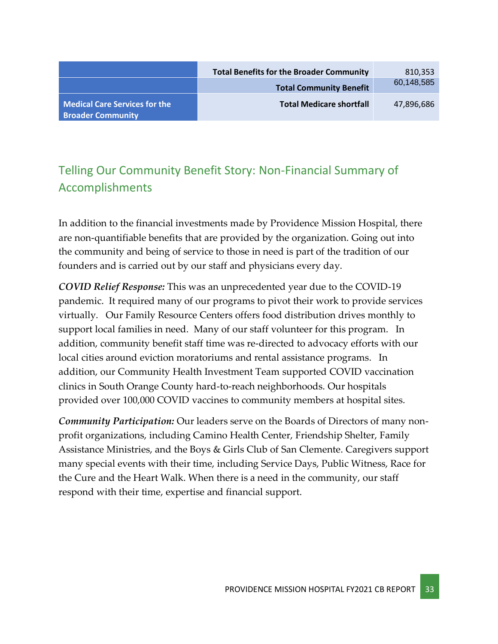|                                                                  | <b>Total Benefits for the Broader Community</b> | 810,353    |
|------------------------------------------------------------------|-------------------------------------------------|------------|
|                                                                  | <b>Total Community Benefit</b>                  | 60,148,585 |
| <b>Medical Care Services for the</b><br><b>Broader Community</b> | <b>Total Medicare shortfall</b>                 | 47,896,686 |

### <span id="page-32-0"></span>Telling Our Community Benefit Story: Non-Financial Summary of Accomplishments

In addition to the financial investments made by Providence Mission Hospital, there are non-quantifiable benefits that are provided by the organization. Going out into the community and being of service to those in need is part of the tradition of our founders and is carried out by our staff and physicians every day.

*COVID Relief Response:* This was an unprecedented year due to the COVID-19 pandemic. It required many of our programs to pivot their work to provide services virtually. Our Family Resource Centers offers food distribution drives monthly to support local families in need. Many of our staff volunteer for this program. In addition, community benefit staff time was re-directed to advocacy efforts with our local cities around eviction moratoriums and rental assistance programs. In addition, our Community Health Investment Team supported COVID vaccination clinics in South Orange County hard-to-reach neighborhoods. Our hospitals provided over 100,000 COVID vaccines to community members at hospital sites.

*Community Participation:* Our leaders serve on the Boards of Directors of many nonprofit organizations, including Camino Health Center, Friendship Shelter, Family Assistance Ministries, and the Boys & Girls Club of San Clemente. Caregivers support many special events with their time, including Service Days, Public Witness, Race for the Cure and the Heart Walk. When there is a need in the community, our staff respond with their time, expertise and financial support.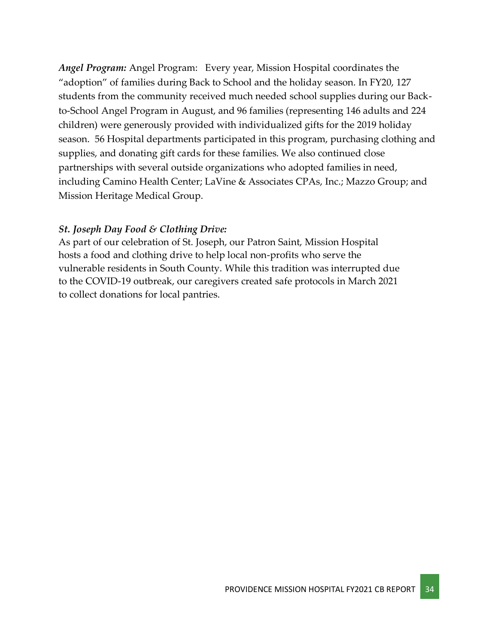*Angel Program:* Angel Program: Every year, Mission Hospital coordinates the "adoption" of families during Back to School and the holiday season. In FY20, 127 students from the community received much needed school supplies during our Backto-School Angel Program in August, and 96 families (representing 146 adults and 224 children) were generously provided with individualized gifts for the 2019 holiday season. 56 Hospital departments participated in this program, purchasing clothing and supplies, and donating gift cards for these families. We also continued close partnerships with several outside organizations who adopted families in need, including Camino Health Center; LaVine & Associates CPAs, Inc.; Mazzo Group; and Mission Heritage Medical Group.

### *St. Joseph Day Food & Clothing Drive:*

As part of our celebration of St. Joseph, our Patron Saint, Mission Hospital hosts a food and clothing drive to help local non-profits who serve the vulnerable residents in South County. While this tradition was interrupted due to the COVID-19 outbreak, our caregivers created safe protocols in March 2021 to collect donations for local pantries.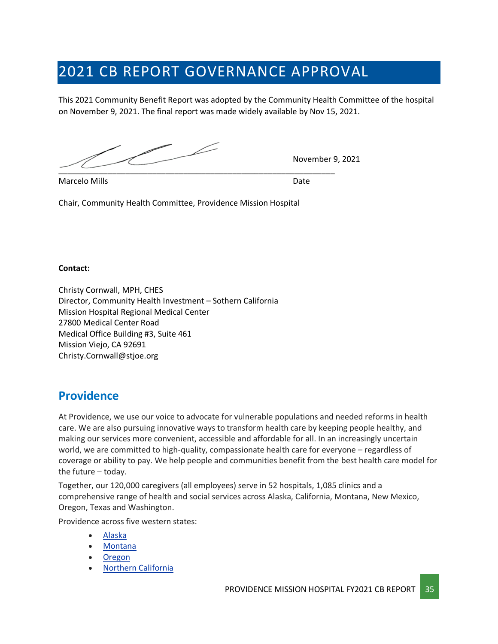# <span id="page-34-0"></span>2021 CB REPORT GOVERNANCE APPROVAL

This 2021 Community Benefit Report was adopted by the Community Health Committee of the hospital on November 9, 2021. The final report was made widely available by Nov 15, 2021.

\_\_\_\_\_\_\_\_\_\_\_\_\_\_\_\_\_\_\_\_\_\_\_\_\_\_\_\_\_\_\_\_\_\_\_\_\_\_\_\_\_\_\_\_\_\_\_\_\_\_\_\_\_\_\_\_\_\_\_\_\_\_

November 9, 2021

Marcelo Mills Date

Chair, Community Health Committee, Providence Mission Hospital

#### **Contact:**

Christy Cornwall, MPH, CHES Director, Community Health Investment – Sothern California Mission Hospital Regional Medical Center 27800 Medical Center Road Medical Office Building #3, Suite 461 Mission Viejo, CA 92691 Christy.Cornwall@stjoe.org

### **Providence**

At Providence, we use our voice to advocate for vulnerable populations and needed reforms in health care. We are also pursuing innovative ways to transform health care by keeping people healthy, and making our services more convenient, accessible and affordable for all. In an increasingly uncertain world, we are committed to high-quality, compassionate health care for everyone – regardless of coverage or ability to pay. We help people and communities benefit from the best health care model for the future – today.

Together, our 120,000 caregivers (all employees) serve in 52 hospitals, 1,085 clinics and a comprehensive range of health and social services across Alaska, California, Montana, New Mexico, Oregon, Texas and Washington.

Providence across five western states:

- [Alaska](https://www.providence.org/about/alaska)
- [Montana](https://www.providence.org/about/montana)
- [Oregon](https://www.providence.org/about/oregon)
- Northern [California](https://www.providence.org/about/northern-california)